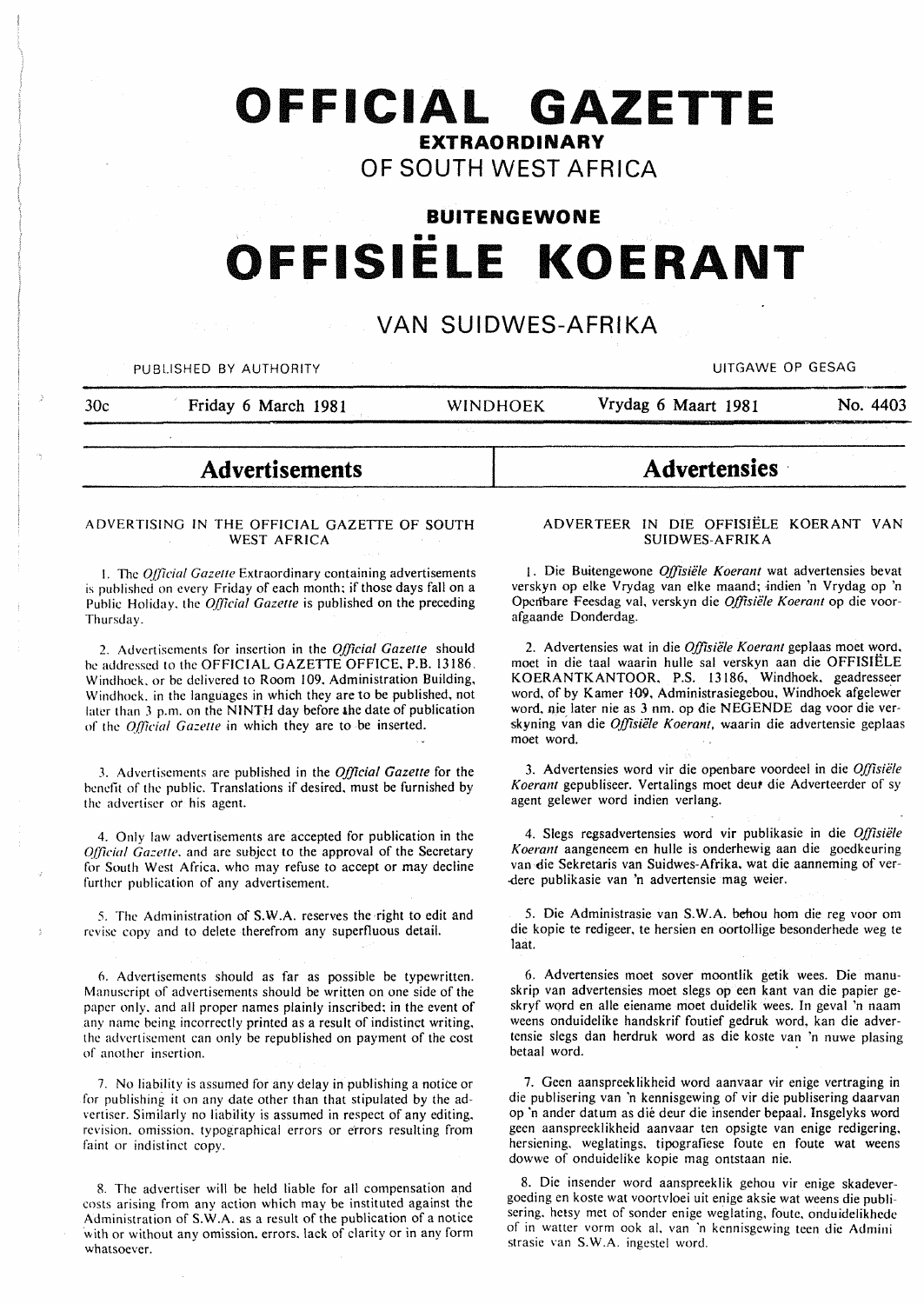# **OFFICIAL GAZETTE EXTRAORDINARY**

## **OF SOUTH WEST AFRICA**

# **BUITENGEWONE**  •• **OFFISIELE KOERANT**

### **VAN SUIDWES-AFRIKA**

PUBLISHED BY AUTHORITY AND RESAGRAPHIC CONTROL IN THE UITGAWE OP GESAGRAPHIC CONTROL IN THE UITGAWE OP GESAGRAPHIC

30c Friday 6 March 1981 WINDHOEK Vrydag 6 Maart 1981 No. 4403

**Advertisements** 

#### ADVERTISING IN THE OFFICIAL GAZETTE OF SOUTH WEST AFRICA

1. The *Official Gazette* Extraordinary containing advertisements is published on every Friday of each month; if those days fall on a Public Holiday, the *Official Gazette* is published on the preceding Thursday.

2. Advertisements for insertion in the *Official Gazette* should be addressed to the OFFICIAL GAZETTE OFFICE, P.B. 13186. Windhoek. or be delivered to Room 109. Administration Building, Windhoek. in the languages in which they are to be published, not later than 3 p.m. on the NINTH day before the date of publication of the *Official Gazette* in which they are to be inserted.

3. Advertisements arc published in the *Official Gazette* for the benefit of the public. Translations if desired, must be furnished by the advertiser or his agent.

4. Only law advertisements are accepted for publication in the *Qfficial Gazette, and are subject to the approval of the Secretary* for South West Africa. who may refuse to accept or may decline further publication of any advertisement.

5. The Administration of S.W.A. reserves the right to edit and revise copy and to delete therefrom any superfluous detail.

6. Advertisements should as far as possible be typewritten. Manuscript of advertisements should be written on one side of the paper only. and all proper names plainly inscribed: in the event of any name being incorrectly printed as a result of indistinct writing. the advertisement can only be republished on payment of the cost of another insertion.

7. No liability is assumed for any delay in publishing a notice or for publishing it on any date other than that stipulated by the advertiser. Similarly no liability is assumed in respect of any editing. revision. omission. typographical errors or e'rrors resulting from faint or indistinct copy.

8. The advertiser will be held liable for all compensation and costs arising from any action which may be instituted against the Administration of S. W .A. as a result of the publication of a notice with or without any omission. errors. lack of clarity or in any form whatsoever.

#### ADVERTEER IN DIE OFFISIELE KOERANT VAN SUIDWES-AFRIKA

**Advertensies** ·

I. Die Buitengewone *Offisiele Koerant* wat advertensies bevat verskyn op elke Vrydag van elke maand; indien 'n Vrydag op 'n Openbare Feesdag val, verskyn die *Offisiële Koerant* op die voorafgaande Donderdag.

2. Advertensies wat in die *Offisiele Koerant* geplaas moet word, moet in die taal waarin hulle sal verskyn aan die OFFISIELE KOERANTKANTOOR, P.S. 13186, Windhoek, geadresseer word, of by Kamer *109*, Administrasiegebou, Windhoek afgelewer word, nie later nie as 3 nm. op die NEGENDE dag voor die verskyning van die *Offisiële Koerant*, waarin die advertensie geplaas moet word.

3. Advertensies word vir die openbare voordeel in die *Offisiele*  Koerant gepubliseer. Vertalings moet deut die Adverteerder of sy agent gelewer word indien verlang.

4. Slegs regsadvertensies word vir publikasie in die *Offisiele Koerant* aangeneem en hulle is onderhewig aan die goedkeuring van die Sekretaris van Suidwes-Afrika. wat die aanneming of ver- -derc publikasie van 'n advertensie mag weier.

5. Die Administrasie van S.W.A. behou hom die reg voor om die kopie te redigeer, te hersien en oortollige besonderhede weg te laat.

6. Advertensies moet sover moontlik getik wees. Die manuskrip van advertensies moet slegs op een kant van die papier geskryf word en aile eiename moet duidelik wees. In geval 'n naam weens onduidelike handskrif foutief gedruk word, kan die advertensie slegs dan herdruk word as die koste van 'n nuwe plasing betaal word.

7. Geen aanspreeklikheid word aanvaar vir enige vertraging in die publisering van 'n kennisgewing of vir die publisering daarvan op 'n ander datum as die deur die insender bepaal. lnsgelyks word geen aanspreeklikheid aanvaar ten opsigte van enige redigering, hersiening. weglatings. tipografiese foute en foute wat weens dowwe of onduidelike kopie mag ontstaan nie.

8. Die insender word aanspreeklik gehou vir enige skadevergoeding en koste wat voortvloei uit enige aksie wat weens die publisering. hctsy met of sonder enige weglating, foute. onduidelikhcdc of in watter vorm ook al. van 'n kennisgewing teen die Admini strasie van S.W.A. ingcstel word.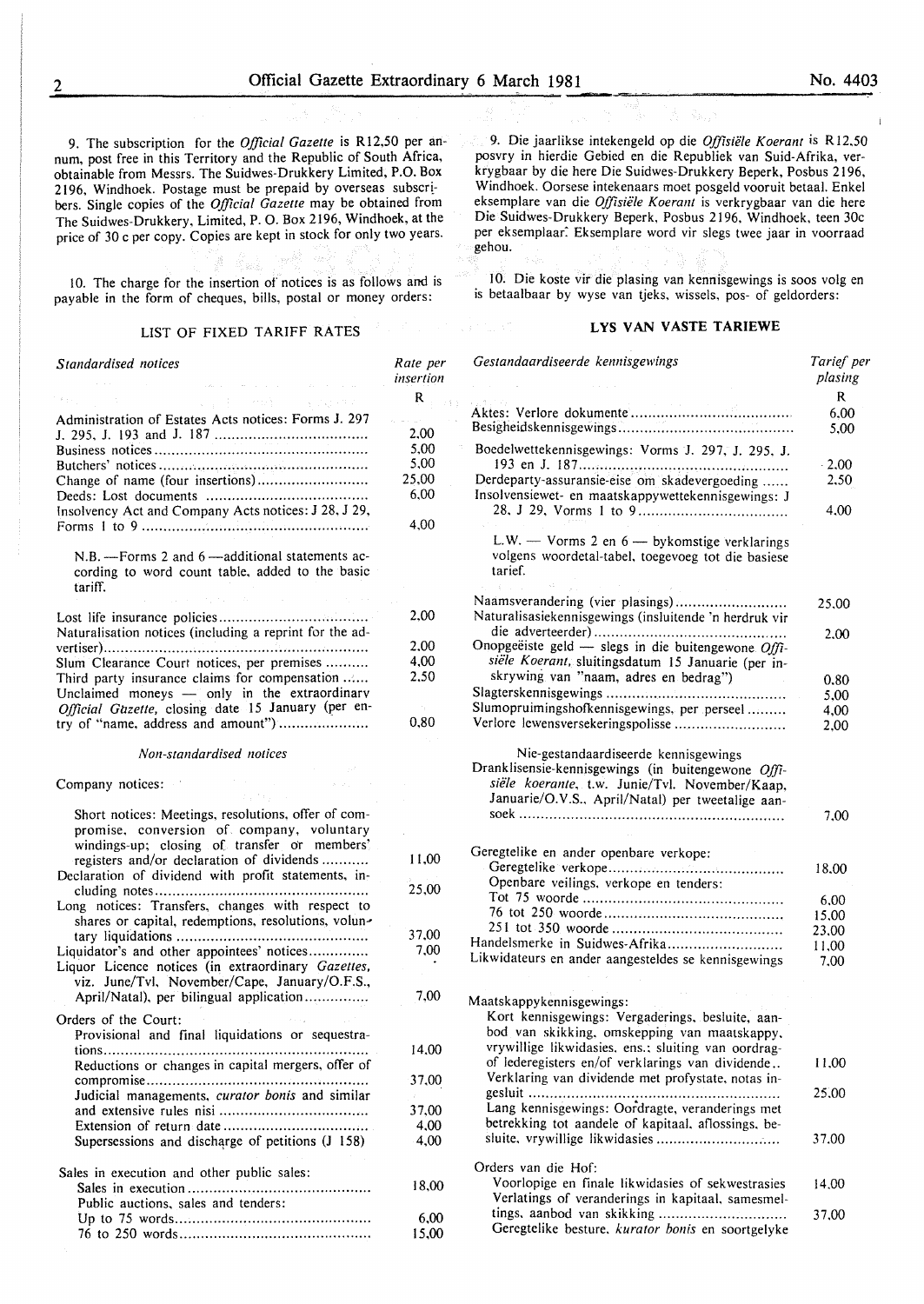San Sullett

9. The subscription for the *Official Gazette* is Rl2,50 per annum, post free in this Territory and the Republic of South Africa, obtainable from Messrs. The Suidwes-Drukkery Limited, P.O. Box 2196, Windhoek. Postage must be prepaid by overseas subscribers. Single copies of the *Official Gazette* may be obtained from The Suidwes-Drukkery, Limited, P. 0. Box 2196, Windhoek, at the price of 30 c per copy. Copies are kept in stock for only two years.

10. The charge for the insertion of notices is as follows and is payable in the form of cheques, bills, postal or money orders:

#### LIST OF FIXED TARIFF RATES

| Standardised notices<br>$\mathcal{L}(\mathbf{X}_t)$ is a summarization of the space of $\mathcal{L}(\mathbf{X}_t)$ , $\mathcal{L}(\mathbf{X}_t)$                                              | Rate per<br>insertion |
|-----------------------------------------------------------------------------------------------------------------------------------------------------------------------------------------------|-----------------------|
| $\mathcal{B}(\pm 1)$                                                                                                                                                                          | $\mathbf R$           |
| (1) I said (1) (1) (1) (1)                                                                                                                                                                    |                       |
| Administration of Estates Acts notices: Forms J. 297                                                                                                                                          |                       |
|                                                                                                                                                                                               | 2,00                  |
|                                                                                                                                                                                               | 5,00                  |
|                                                                                                                                                                                               | 5,00                  |
| Change of name (four insertions)                                                                                                                                                              | 25,00                 |
|                                                                                                                                                                                               | 6,00                  |
| Insolvency Act and Company Acts notices: J 28, J 29,                                                                                                                                          | 4,00                  |
|                                                                                                                                                                                               |                       |
| N.B. - Forms 2 and 6 - additional statements ac-<br>cording to word count table, added to the basic<br>tariff.<br>おとり せいしゅうせいしょう<br>$\alpha_{\rm eff}$ , $\alpha_{\rm eff}$ , and             |                       |
|                                                                                                                                                                                               | 2,00                  |
|                                                                                                                                                                                               |                       |
| Naturalisation notices (including a reprint for the ad-                                                                                                                                       |                       |
|                                                                                                                                                                                               | 2.00                  |
| Slum Clearance Court notices, per premises                                                                                                                                                    | 4,00                  |
| Third party insurance claims for compensation                                                                                                                                                 | 2.50                  |
| Unclaimed moneys - only in the extraordinary                                                                                                                                                  |                       |
| Official Gazette, closing date 15 January (per en-                                                                                                                                            |                       |
| try of "name, address and amount")                                                                                                                                                            | 0,80                  |
| Non-standardised notices<br>$\label{eq:2} \hat{\theta} = \hat{\theta} + \hat{\theta}$                                                                                                         |                       |
| Company notices:                                                                                                                                                                              |                       |
| Short notices: Meetings, resolutions, offer of com-<br>promise, conversion of company, voluntary<br>windings-up; closing of transfer or members'<br>registers and/or declaration of dividends | 11,00                 |
| Declaration of dividend with profit statements, in-                                                                                                                                           |                       |
|                                                                                                                                                                                               | 25,00                 |
| Long notices: Transfers, changes with respect to                                                                                                                                              |                       |
| shares or capital, redemptions, resolutions, volun-                                                                                                                                           |                       |
|                                                                                                                                                                                               | 37.00                 |
| Liquidator's and other appointees' notices                                                                                                                                                    | 7.00                  |
| Liquor Licence notices (in extraordinary Gazettes,                                                                                                                                            |                       |
| viz. June/Tvl, November/Cape, January/O.F.S.,                                                                                                                                                 |                       |
| April/Natal), per bilingual application                                                                                                                                                       | 7.00                  |
| Orders of the Court:                                                                                                                                                                          |                       |
| Provisional and final liquidations or sequestra-                                                                                                                                              |                       |
|                                                                                                                                                                                               | 14.00                 |
| Reductions or changes in capital mergers, offer of                                                                                                                                            |                       |
|                                                                                                                                                                                               | 37,00                 |
| Judicial managements, curator bonis and similar                                                                                                                                               |                       |
|                                                                                                                                                                                               | 37,00                 |
|                                                                                                                                                                                               | 4,00                  |
| Supersessions and discharge of petitions (J 158)                                                                                                                                              | 4,00                  |
|                                                                                                                                                                                               |                       |
| Sales in execution and other public sales:                                                                                                                                                    |                       |
|                                                                                                                                                                                               | 18,00                 |
| Public auctions, sales and tenders:                                                                                                                                                           |                       |
|                                                                                                                                                                                               | 6,00                  |
|                                                                                                                                                                                               | 15,00                 |

9. Die jaarlikse intekengeld op die *Offisiele K oerant* is R 12.50 posvry in hierdie Gebied en die Republiek van Suid-Afrika, verkrygbaar by die here Die Suidwes-Drukkery Beperk, Posbus 2196, Windhoek. Oorsese intekenaars moet posgeld vooruit betaal. Enkel eksemplare van die *Offisiele Koerant* is verkrygbaar van die here Die Suidwes-Drukkery Beperk, Posbus 2196, Windhoek, teen 30c per eksemplaar: Eksemplare word vir slegs twee jaar in voorraad gehou.

10. Die koste vir die plasing van kennisgewings is soos volg en is betaalbaar by wyse van tjeks, wissels, pos- of geldorders:

#### LYS VAN VASTE TARIEWE

| Gestandaardiseerde kennisgewings                                                                                                                          | Tarief per<br>plasing |
|-----------------------------------------------------------------------------------------------------------------------------------------------------------|-----------------------|
|                                                                                                                                                           | R                     |
|                                                                                                                                                           | 6.00                  |
| Boedelwettekennisgewings: Vorms J. 297, J. 295, J.                                                                                                        | 5,00                  |
|                                                                                                                                                           | $\cdot$ 2.00          |
| Derdeparty-assuransie-eise om skadevergoeding<br>Insolvensiewet- en maatskappywettekennisgewings: J                                                       | 2,50                  |
|                                                                                                                                                           | 4,00                  |
| L.W. - Vorms 2 en $6$ - bykomstige verklarings<br>volgens woordetal-tabel, toegevoeg tot die basiese<br>tarief.                                           |                       |
| Naamsverandering (vier plasings)<br>Naturalisasiekennisgewings (insluitende 'n herdruk vir                                                                | 25,00                 |
|                                                                                                                                                           | 2.00                  |
| Onopgeëiste geld — slegs in die buitengewone $Offi$ -                                                                                                     |                       |
| siële Koerant, sluitingsdatum 15 Januarie (per in-                                                                                                        |                       |
| skrywing van "naam, adres en bedrag")                                                                                                                     | 0.80                  |
|                                                                                                                                                           | 5,00                  |
| Slumopruimingshofkennisgewings, per perseel                                                                                                               | 4.00                  |
| Verlore lewensversekeringspolisse                                                                                                                         | 2,00                  |
| Dranklisensie-kennisgewings (in buitengewone Offi-<br>siële koerante, t.w. Junie/Tvl. November/Kaap,<br>Januarie/O.V.S., April/Natal) per tweetalige aan- | 7,00                  |
| Geregtelike en ander openbare verkope:                                                                                                                    |                       |
|                                                                                                                                                           | 18,00                 |
| Openbare veilings, verkope en tenders:                                                                                                                    |                       |
|                                                                                                                                                           | 6,00                  |
|                                                                                                                                                           | 15,00                 |
|                                                                                                                                                           | 23,00                 |
| Handelsmerke in Suidwes-Afrika                                                                                                                            | 11,00                 |
| Likwidateurs en ander aangesteldes se kennisgewings                                                                                                       | 7.00                  |
| Maatskappykennisgewings:                                                                                                                                  |                       |
| Kort kennisgewings: Vergaderings, besluite, aan-                                                                                                          |                       |
| bod van skikking, omskepping van maatskappy,                                                                                                              |                       |
| vrywillige likwidasies, ens.; sluiting van oordrag-                                                                                                       |                       |
| of lederegisters en/of verklarings van dividende<br>Verklaring van dividende met profystate, notas in-                                                    | 11.00                 |
|                                                                                                                                                           | 25,00                 |
| Lang kennisgewings: Oordragte, veranderings met<br>betrekking tot aandele of kapitaal, aflossings, be-                                                    |                       |
|                                                                                                                                                           | 37.00                 |
| Orders van die Hof:                                                                                                                                       |                       |
| Voorlopige en finale likwidasies of sekwestrasies                                                                                                         | 14.00                 |
| Verlatings of veranderings in kapitaal, samesmel-                                                                                                         |                       |
| tings, aanbod van skikking<br>Geregtelike besture, kurator bonis en soortgelyke                                                                           | 37.00                 |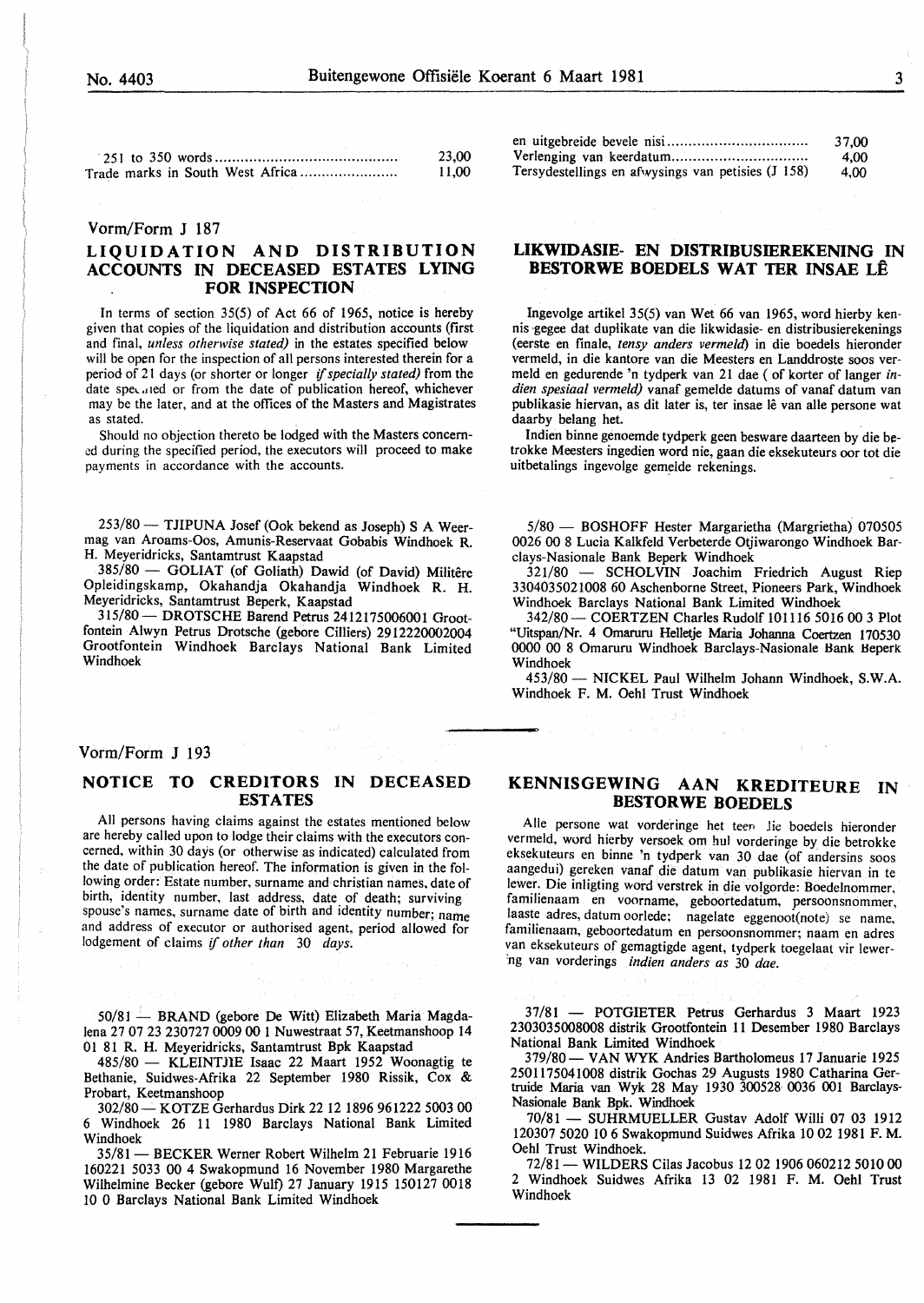| ۰                |
|------------------|
| ×                |
| I<br>I<br>ł<br>٧ |

|                                  | 23.00 |
|----------------------------------|-------|
| Trade marks in South West Africa | 11.00 |

#### Vorm/Form J 187

#### **LIQUIDATION AND DISTRIBUTION ACCOUNTS IN DECEASED ESTATES LYING FOR INSPECTION**

In terms of section 35(5) of Act 66 of 1965, notice is hereby given that copies of the liquidation and distribution accounts (first and final, *unless otherwise stated)* in the estates specified below will be open for the inspection of all persons interested therein for a period of 21 days (or shorter or longer if *specially stated)* from the date speculed or from the date of publication hereof, whichever may be the later, and at the offices of the Masters and Magistrates as stated.

Should no objection thereto be lodged with the Masters concerned during the specified period, the executors will proceed to make payments in accordance with the accounts.

253/80 - TJIPUNA Josef (Ook bekend as Joseph) S A Weermag van Aroams-Oos, Amunis-Reservaat Gobabis Windhoek R. H. Meyeridricks, Santamtrust Kaapstad

385/80 - GOLIAT (of Goliath) Dawid (of David) Militere Opleidingskamp, Okahandja Okahandja Windhoek R. H. Meyeridricks, Santamtrust Beperk, Kaapstad

315/80- DROTSCHE Barend Petrus 2412175006001 Grootfontein Alwyn Petrus Drotsche (gebore Cilliers) 2912220002004 Grootfontein Windhoek Barclays National Bank Limited Windhoek

#### Vorm/Form J 193

#### **NOTICE TO CREDITORS IN DECEASED ESTATES**

All persons having claims against the estates mentioned below are hereby called upon to lodge their claims with the executors concerned, within 30 days (or otherwise as indicated) calculated from the date of publication hereof. The information is given in the following order: Estate number, surname and christian names, date of birth, identity number, last address, date of death; surviving spouse's names, surname date of birth and identity number; name and address of executor or authorised agent, period allowed for lodgement of claims if *other than* 30 *days.* 

50/81 - BRAND (gebore De Witt) Elizabeth Maria Magdalena 27 07 23 230727 0009 00 1 Nuwestraat 57, Keetmanshoop 14 01 81 R. H. Meyeridricks, Santamtrust Bpk Kaapstad

485/80 - KLEINTJIE Isaac 22 Maart 1952 Woonagtig te Bethanie, Suidwes-Afrika 22 September 1980 Rissik, Cox & Probart, Keetmanshoop

302/80- KOTZE Gerhardus Dirk 22 12 1896 961222 5003 00 6 Windhoek 26 11 1980 Barclays National Bank Limited Windhoek

35/81 - BECKER Werner Robert Wilhelm 21 Februarie 1916 160221 5033 00 4 Swakopmund 16 November 1980 Margarethe Wilhelmine Becker (gebore Wulf) 27 January 1915 150127 0018 10 0 Barclays National Bank Limited Windhoek

|                                                    | 37.00 |
|----------------------------------------------------|-------|
|                                                    | 4.00  |
| Tersydestellings en afwysings van petisies (J 158) | 4.00  |

#### **LIKWIDASIE- EN DISTRIBUSIEREKENING IN BESTORWE BOEDELS WAT TER INSAE LE**

Ingevolge artikel 35(5) van Wet 66 van 1965, word hierby kennis gegee dat duplikate van die Iikwidasie- en distribusierekenings (eerste en finale, *tensy anders vermeld)* in die boedels hieronder vermeld, in die kantore van die Meesters en Landdroste soos vermeld en gedurende 'n tydperk van 21 dae (of korter of Ianger *indien spesiaal vermeld)* vanaf gemelde datums of vanaf datum van publikasie hiervan, as dit later is, ter insae lê van alle persone wat daarby belang het.

Indien binne genoemde tydperk geen besware daarteen by die betrokke Meesters ingedien word nie, gaan die eksekuteurs oor tot die uitbetalings ingevolge gemelde rekenings.

5/80 - BOSHOFF Hester Margarietha (Margrietha) 070505 0026 00 8 Lucia Kalkfeld Verbeterde Otjiwarongo Windhoek Barclays-Nasionale Bank Beperk Windhoek

321/80 - SCHOLVIN Joachim Friedrich August Riep 3304035021008 60 Aschenborne Street, Pioneers Park, Windhoek Windhoek Barclays National Bank Limited Windhoek

342/80- COERTZEN Charles Rudolf 101116 5016 00 3 Plot "Uitspan/Nr. 4 Ornaruru Helletje Maria Johanna Coertzen 170530 0000 00 8 Omaruru Windhoek Barclays-Nasionale Hank Heperk Windhoek

453/80- NICKEL Paul Wilhelm Johann Windhoek, S.W.A. Windhoek F. M. Oehl Trust Windhoek

in pr

#### **KENNISGEWING AAN KREDITEURE IN BESTORWE BOEDELS**

Alle persone wat vorderinge het teen lie boedels hieronder vermeld, word hierby versoek om hul vorderinge by die betrokke eksekuteurs en binne 'n tydperk van 30 dae (of andersins soos aangedui) gereken vanaf die datum van publikasie hiervan in te !ewer. Die inligting word verstrek in die volgorde: Boedelnommer, familienaam en voorname, geboortedatum, persoonsnommer, laaste adres, datum oorlede; nagelate eggenoot(note) se name, familienaam, geboortedatum en persoonsnommer; naam en adres van eksekuteurs of gemagtigde agent, tydperk toegelaat vir lewer- 'ng van vorderings *indien anders as* 30 *dae.* 

37/81 - POTGIETER Petrus Gerhardus 3 Maart 1923 2303035008008 distrik Grootfontein 11 Desember 1980 Barclays National Bank Limited Windhoek

379/80- VANWYK Andries Bartholomeus 17 Januarie 1925 2501175041008 distrik Gochas 29 Augusts 1980 Catharina Gertruide Maria van Wyk 28 May 1930 300528 0036 001 Barclays-Nasionale Bank Bpk. Windhoek

70/81 - SUHRMUELLER Gustav Adolf Willi 07 03 1912 120307 5020 10 6 Swakopmund Suidwes Afrika 10 02 1981 F. M. Oehl Trust Windhoek.

72/81- WILDERS Cilas Jacobus 12 02 1906 060212 5010 00 2 Windhoek Suidwes Afrika 13 02 1981 F. M. Oehl Trust Windhoek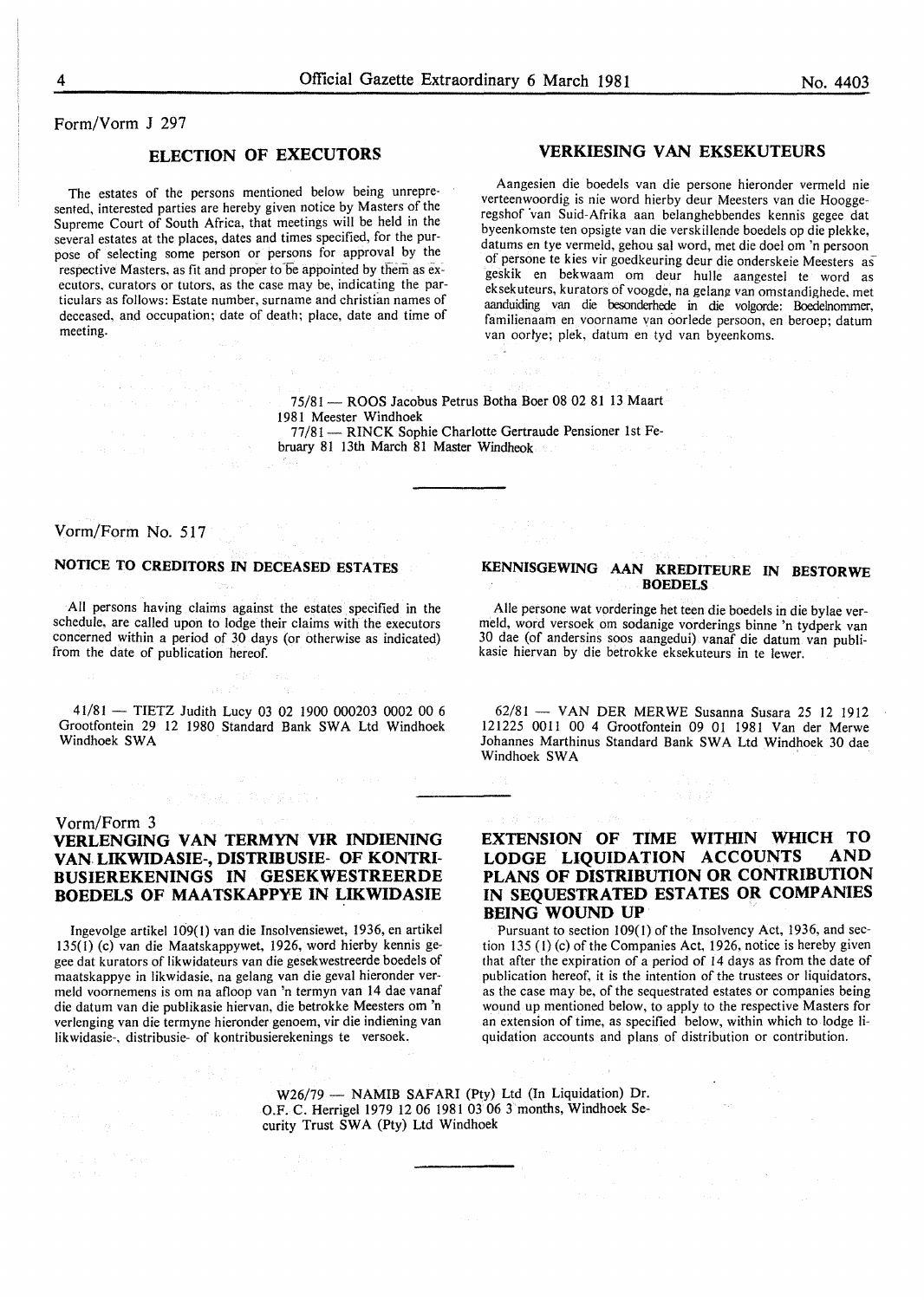#### Form/Vorm J 297

#### ELECTION OF EXECUTORS

The estates of the persons mentioned below being unrepresented, interested parties are hereby given notice by Masters of the Supreme Court of South Africa, that meetings will be held in the several estates at the places, dates and times specified, for the purpose of selecting some person or persons for approval by the respective Masters, as fit and proper to be appointed by them as executors, curators or tutors, as the case may be, indicating the particulars as follows: Estate number, surname and christian names of deceased, and occupation; date of death; place, date and time of meeting.

#### VERKIESING VAN EKSEKUTEURS

Aangesien die boedels van die persone hieronder vermeld nie verteenwoordig is nie word hierby deur Meesters van die Hooggeregshof van Suid-Afrika aan belanghebbendes kennis gegee dat byeenkomste ten opsigte van die verskillende boedels op die plekke, datums en tye vermeld, gehou sal word, met die doel om 'n persoon of persone te kies vir goedkeuring deur die onderskeie Meesters as geskik en bekwaam om deur hulle aangestel te word as eksekuteurs, kurators ofvoogde, na gelang van omstandighede. met aanduiding van die besonderhede in die volgorde: Boedelnommer, familienaam en voorname van oorlede persoon, en beroep; datum van oorlye; plek, datum en tyd van byeenkoms.

75/81 - ROOS Jacobus Petrus Botha Boer 08 02 81 13 Maart 1981 Meester Windhoek 77/81 - RINCK Sophie Charlotte Gertraude Pensioner 1st February 81 13th March 81 Master Windheok

#### Vorm/Form No. 517

#### NOTICE TO CREDITORS IN DECEASED ESTATES

All persons having claims against the estates specified in the schedule, are called upon to lodge their claims with the executors concerned within a period of 30 days (or otherwise as indicated) from the date of publication hereof.

41/81 - TIETZ Judith Lucy 03 02 1900 000203 0002 00 6 Grootfontein 29 12 1980 Standard Bank SWA Ltd Windhoek Windhoek SWA

#### Vorm/Form 3

#### VERLENGING VAN TERMYN VIR INDIENING VAN LIKWIDASIE-, DISTRIBUSIE- OF KONTRI-BUSIEREKENINGS IN GESEKWESTREERDE BOEDELS OF MAATSKAPPYE IN LIKWIDASIE

Ingevolge artikel I09(I) van die Insolvensiewet, 1936, en artikel 135(1) (c) van die Maatskappywet, 1926, word hierby kennis gegee dat kurators of likwidateurs van die gesekwestreerde boedels of maatskappye in likwidasie, na gelang van die geval hieronder vermeld voornemens is om na afloop van 'n termyn van 14 dae vanaf die datum van die publikasie hiervan, die betrokke Meesters om 'n verlenging van die termyne hieronder genoem, vir die indiening van likwidasie-, distribusie- of kontribusierekenings te versoek.

#### KENNISGEWING AAN KREDITEURE IN BESTORWE BOEDELS

Aile persone wat vorderinge het teen die boedels in die bylae vermeld, word versoek om sodanige vorderings binne 'n tydperk van 30 dae (of andersins soos aangedui) vanaf die datum van publikasie hiervan by die betrokke eksekuteurs in te lewer.

 $62/81$  - VAN DER MERWE Susanna Susara 25 12 1912 121225 0011 00 4 Grootfontein 09 01 1981 Van der Merwe Johannes Marthinus Standard Bank SWA Ltd Windhoek 30 dae Windhoek SWA

 $\tau = \tau_{\rm{th}}$ 

### EXTENSION OF TIME WITHIN WHICH TO LODGE LIQUIDATION ACCOUNTS AND PLANS OF DISTRIBUTION OR CONTRIBUTION IN SEQUESTRATED ESTATES OR COMPANIES **BEING WOUND UP**<br>Pursuant to section 109(1) of the Insolvency Act, 1936, and sec-

tion 135 (I) (c) of the Companies Act, 1926. notice is hereby given that after the expiration of a period of 14 days as from the date of publication hereof, it is the intention of the trustees or liquidators, as the case may be, of the sequestrated estates or companies being wound up mentioned below, to apply to the respective Masters for an extension of time, as specified below, within which to lodge liquidation accounts and plans of distribution or contribution.

W26/79- NAMIB SAFARI (Pty) Ltd (In Liquidation) Dr. O.F. C. Herrigel 1979 12 06 1981 03 06 3 months, Windhoek Security Trust SWA (Pty) Ltd Windhoek